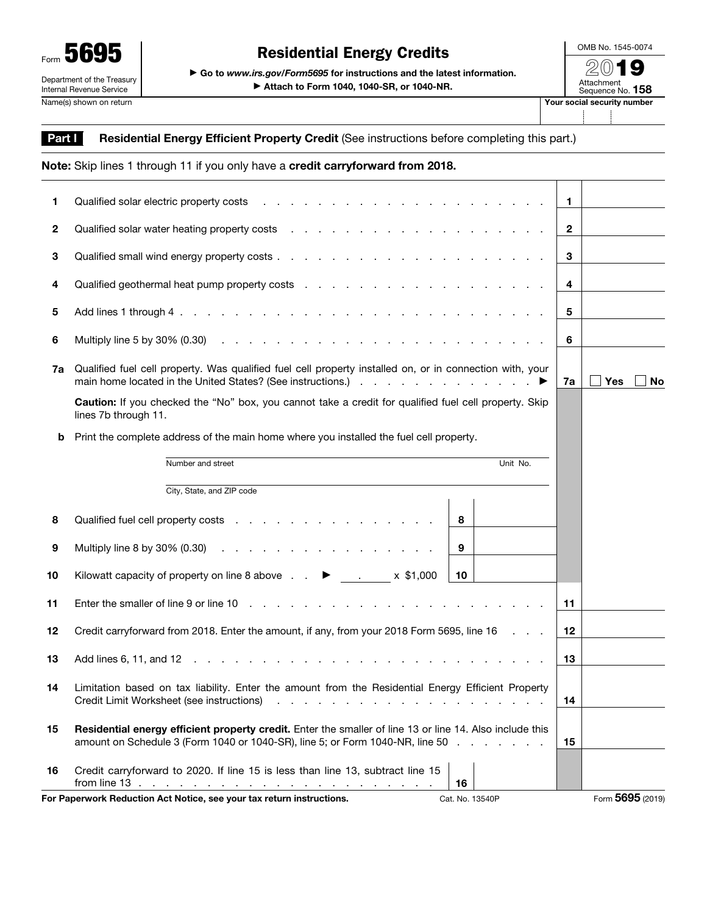

OMB No. 1545-0074

▶ Attach to Form 1040, 1040-SR, or 1040-NR.

| our social security number |                                |  |  |  |  |  |  |
|----------------------------|--------------------------------|--|--|--|--|--|--|
|                            | Attachment<br>Sequence No. 158 |  |  |  |  |  |  |
|                            | 74.W)                          |  |  |  |  |  |  |

## Part I Residential Energy Efficient Property Credit (See instructions before completing this part.)

|                | Note: Skip lines 1 through 11 if you only have a credit carryforward from 2018.                                                                                                                                                                          |                |                  |
|----------------|----------------------------------------------------------------------------------------------------------------------------------------------------------------------------------------------------------------------------------------------------------|----------------|------------------|
| 1.             |                                                                                                                                                                                                                                                          | $\mathbf 1$    |                  |
| $\overline{2}$ |                                                                                                                                                                                                                                                          | $\overline{2}$ |                  |
| 3              |                                                                                                                                                                                                                                                          | 3              |                  |
| 4              |                                                                                                                                                                                                                                                          | 4              |                  |
| 5              |                                                                                                                                                                                                                                                          | 5              |                  |
| 6              |                                                                                                                                                                                                                                                          | 6              |                  |
| 7a             | Qualified fuel cell property. Was qualified fuel cell property installed on, or in connection with, your                                                                                                                                                 | 7a             | Yes<br>No        |
|                | Caution: If you checked the "No" box, you cannot take a credit for qualified fuel cell property. Skip<br>lines 7b through 11.                                                                                                                            |                |                  |
| b              | Print the complete address of the main home where you installed the fuel cell property.                                                                                                                                                                  |                |                  |
|                | Unit No.<br>Number and street                                                                                                                                                                                                                            |                |                  |
|                | City, State, and ZIP code                                                                                                                                                                                                                                |                |                  |
| 8              | Qualified fuel cell property costs<br>8                                                                                                                                                                                                                  |                |                  |
| 9              | Multiply line 8 by 30% $(0.30)$<br>9                                                                                                                                                                                                                     |                |                  |
| 10             | 10                                                                                                                                                                                                                                                       |                |                  |
| 11             |                                                                                                                                                                                                                                                          | 11             |                  |
| 12             | Credit carryforward from 2018. Enter the amount, if any, from your 2018 Form 5695, line 16                                                                                                                                                               | 12             |                  |
| 13             | Add lines 6, 11, and 12<br>designed to the control of the control of the control of the control of the control of the control of the control of the control of the control of the control of the control of the control of the control of the control of | 13             |                  |
| 14             | Limitation based on tax liability. Enter the amount from the Residential Energy Efficient Property<br>Credit Limit Worksheet (see instructions)                                                                                                          | 14             |                  |
| 15             | Residential energy efficient property credit. Enter the smaller of line 13 or line 14. Also include this<br>amount on Schedule 3 (Form 1040 or 1040-SR), line 5; or Form 1040-NR, line 50                                                                | 15             |                  |
| 16             | Credit carryforward to 2020. If line 15 is less than line 13, subtract line 15<br>16                                                                                                                                                                     |                |                  |
|                | For Paperwork Reduction Act Notice, see your tax return instructions.<br>Cat. No. 13540P                                                                                                                                                                 |                | Form 5695 (2019) |